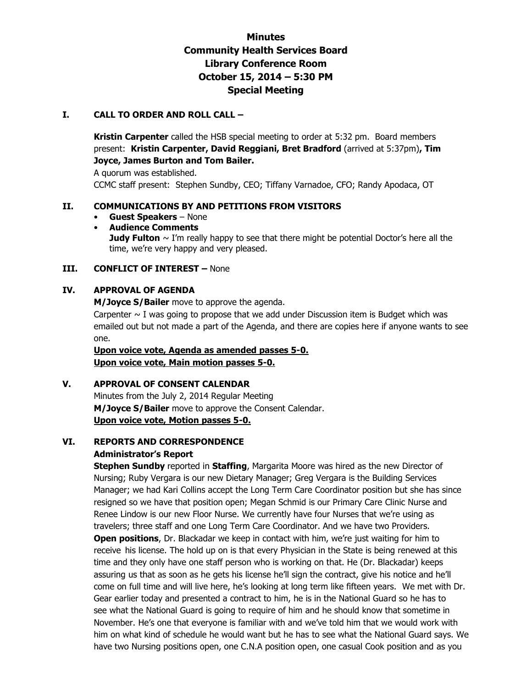# **Minutes Community Health Services Board Library Conference Room October 15, 2014 – 5:30 PM Special Meeting**

#### **I. CALL TO ORDER AND ROLL CALL –**

**Kristin Carpenter** called the HSB special meeting to order at 5:32 pm. Board members present: **Kristin Carpenter, David Reggiani, Bret Bradford** (arrived at 5:37pm)**, Tim Joyce, James Burton and Tom Bailer.** 

A quorum was established.

CCMC staff present: Stephen Sundby, CEO; Tiffany Varnadoe, CFO; Randy Apodaca, OT

#### **II. COMMUNICATIONS BY AND PETITIONS FROM VISITORS**

- **Guest Speakers**  None
- **Audience Comments Judy Fulton**  $\sim$  I'm really happy to see that there might be potential Doctor's here all the time, we're very happy and very pleased.

#### **III. CONFLICT OF INTEREST –** None

#### **IV. APPROVAL OF AGENDA**

**M/Joyce S/Bailer** move to approve the agenda.

Carpenter  $\sim$  I was going to propose that we add under Discussion item is Budget which was emailed out but not made a part of the Agenda, and there are copies here if anyone wants to see one.

**Upon voice vote, Agenda as amended passes 5-0. Upon voice vote, Main motion passes 5-0.** 

#### **V. APPROVAL OF CONSENT CALENDAR**

 Minutes from the July 2, 2014 Regular Meeting **M/Joyce S/Bailer** move to approve the Consent Calendar. **Upon voice vote, Motion passes 5-0.**

# **VI. REPORTS AND CORRESPONDENCE**

#### **Administrator's Report**

 **Stephen Sundby** reported in **Staffing**, Margarita Moore was hired as the new Director of Nursing; Ruby Vergara is our new Dietary Manager; Greg Vergara is the Building Services Manager; we had Kari Collins accept the Long Term Care Coordinator position but she has since resigned so we have that position open; Megan Schmid is our Primary Care Clinic Nurse and Renee Lindow is our new Floor Nurse. We currently have four Nurses that we're using as travelers; three staff and one Long Term Care Coordinator. And we have two Providers. **Open positions**, Dr. Blackadar we keep in contact with him, we're just waiting for him to receive his license. The hold up on is that every Physician in the State is being renewed at this time and they only have one staff person who is working on that. He (Dr. Blackadar) keeps assuring us that as soon as he gets his license he'll sign the contract, give his notice and he'll come on full time and will live here, he's looking at long term like fifteen years. We met with Dr. Gear earlier today and presented a contract to him, he is in the National Guard so he has to see what the National Guard is going to require of him and he should know that sometime in November. He's one that everyone is familiar with and we've told him that we would work with him on what kind of schedule he would want but he has to see what the National Guard says. We have two Nursing positions open, one C.N.A position open, one casual Cook position and as you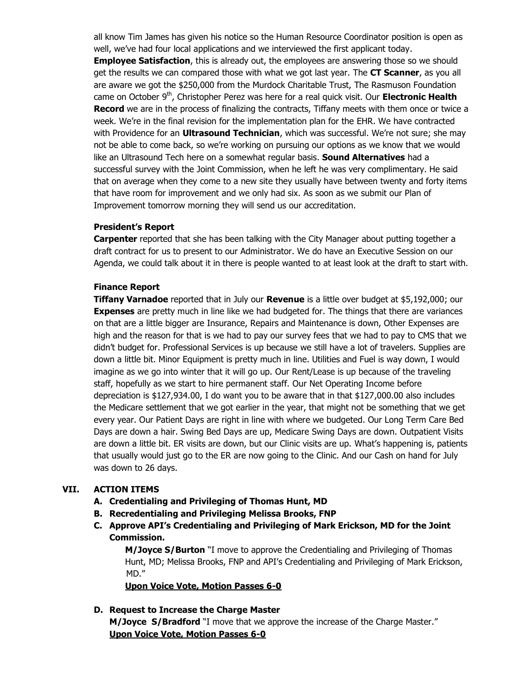all know Tim James has given his notice so the Human Resource Coordinator position is open as well, we've had four local applications and we interviewed the first applicant today. **Employee Satisfaction**, this is already out, the employees are answering those so we should get the results we can compared those with what we got last year. The **CT Scanner**, as you all are aware we got the \$250,000 from the Murdock Charitable Trust, The Rasmuson Foundation came on October 9th, Christopher Perez was here for a real quick visit. Our **Electronic Health Record** we are in the process of finalizing the contracts, Tiffany meets with them once or twice a week. We're in the final revision for the implementation plan for the EHR. We have contracted with Providence for an **Ultrasound Technician**, which was successful. We're not sure; she may not be able to come back, so we're working on pursuing our options as we know that we would like an Ultrasound Tech here on a somewhat regular basis. **Sound Alternatives** had a successful survey with the Joint Commission, when he left he was very complimentary. He said that on average when they come to a new site they usually have between twenty and forty items that have room for improvement and we only had six. As soon as we submit our Plan of Improvement tomorrow morning they will send us our accreditation.

#### **President's Report**

**Carpenter** reported that she has been talking with the City Manager about putting together a draft contract for us to present to our Administrator. We do have an Executive Session on our Agenda, we could talk about it in there is people wanted to at least look at the draft to start with.

### **Finance Report**

**Tiffany Varnadoe** reported that in July our **Revenue** is a little over budget at \$5,192,000; our **Expenses** are pretty much in line like we had budgeted for. The things that there are variances on that are a little bigger are Insurance, Repairs and Maintenance is down, Other Expenses are high and the reason for that is we had to pay our survey fees that we had to pay to CMS that we didn't budget for. Professional Services is up because we still have a lot of travelers. Supplies are down a little bit. Minor Equipment is pretty much in line. Utilities and Fuel is way down, I would imagine as we go into winter that it will go up. Our Rent/Lease is up because of the traveling staff, hopefully as we start to hire permanent staff. Our Net Operating Income before depreciation is \$127,934.00, I do want you to be aware that in that \$127,000.00 also includes the Medicare settlement that we got earlier in the year, that might not be something that we get every year. Our Patient Days are right in line with where we budgeted. Our Long Term Care Bed Days are down a hair. Swing Bed Days are up, Medicare Swing Days are down. Outpatient Visits are down a little bit. ER visits are down, but our Clinic visits are up. What's happening is, patients that usually would just go to the ER are now going to the Clinic. And our Cash on hand for July was down to 26 days.

## **VII. ACTION ITEMS**

- **A. Credentialing and Privileging of Thomas Hunt, MD**
- **B. Recredentialing and Privileging Melissa Brooks, FNP**
- **C. Approve API's Credentialing and Privileging of Mark Erickson, MD for the Joint Commission.**

 **M/Joyce S/Burton** "I move to approve the Credentialing and Privileging of Thomas Hunt, MD; Melissa Brooks, FNP and API's Credentialing and Privileging of Mark Erickson, MD."

**Upon Voice Vote, Motion Passes 6-0** 

## **D. Request to Increase the Charge Master**

**M/Joyce S/Bradford** "I move that we approve the increase of the Charge Master." **Upon Voice Vote, Motion Passes 6-0**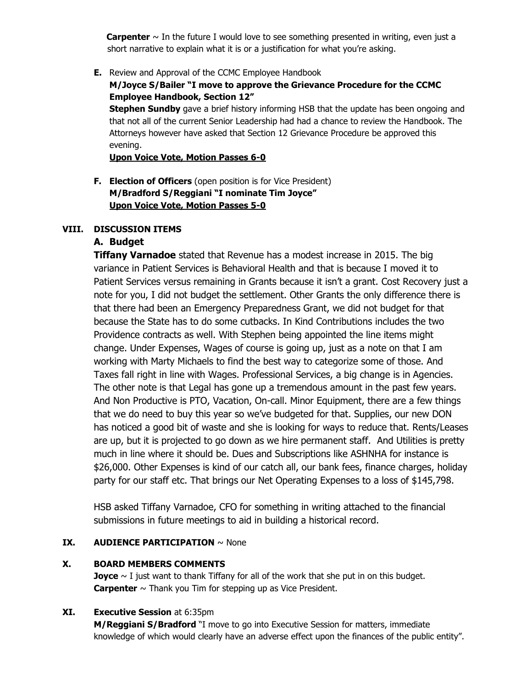**Carpenter** ~ In the future I would love to see something presented in writing, even just a short narrative to explain what it is or a justification for what you're asking.

**E.** Review and Approval of the CCMC Employee Handbook

## **M/Joyce S/Bailer "I move to approve the Grievance Procedure for the CCMC Employee Handbook, Section 12"**

**Stephen Sundby** gave a brief history informing HSB that the update has been ongoing and that not all of the current Senior Leadership had had a chance to review the Handbook. The Attorneys however have asked that Section 12 Grievance Procedure be approved this evening.

**Upon Voice Vote, Motion Passes 6-0** 

**F. Election of Officers** (open position is for Vice President) **M/Bradford S/Reggiani "I nominate Tim Joyce" Upon Voice Vote, Motion Passes 5-0** 

## **VIII. DISCUSSION ITEMS**

## **A. Budget**

**Tiffany Varnadoe** stated that Revenue has a modest increase in 2015. The big variance in Patient Services is Behavioral Health and that is because I moved it to Patient Services versus remaining in Grants because it isn't a grant. Cost Recovery just a note for you, I did not budget the settlement. Other Grants the only difference there is that there had been an Emergency Preparedness Grant, we did not budget for that because the State has to do some cutbacks. In Kind Contributions includes the two Providence contracts as well. With Stephen being appointed the line items might change. Under Expenses, Wages of course is going up, just as a note on that I am working with Marty Michaels to find the best way to categorize some of those. And Taxes fall right in line with Wages. Professional Services, a big change is in Agencies. The other note is that Legal has gone up a tremendous amount in the past few years. And Non Productive is PTO, Vacation, On-call. Minor Equipment, there are a few things that we do need to buy this year so we've budgeted for that. Supplies, our new DON has noticed a good bit of waste and she is looking for ways to reduce that. Rents/Leases are up, but it is projected to go down as we hire permanent staff. And Utilities is pretty much in line where it should be. Dues and Subscriptions like ASHNHA for instance is \$26,000. Other Expenses is kind of our catch all, our bank fees, finance charges, holiday party for our staff etc. That brings our Net Operating Expenses to a loss of \$145,798.

HSB asked Tiffany Varnadoe, CFO for something in writing attached to the financial submissions in future meetings to aid in building a historical record.

## **IX. AUDIENCE PARTICIPATION** ~ None

## **X. BOARD MEMBERS COMMENTS**

**Joyce**  $\sim$  I just want to thank Tiffany for all of the work that she put in on this budget. **Carpenter**  $\sim$  Thank you Tim for stepping up as Vice President.

## **XI. Executive Session** at 6:35pm

 **M/Reggiani S/Bradford** "I move to go into Executive Session for matters, immediate knowledge of which would clearly have an adverse effect upon the finances of the public entity".